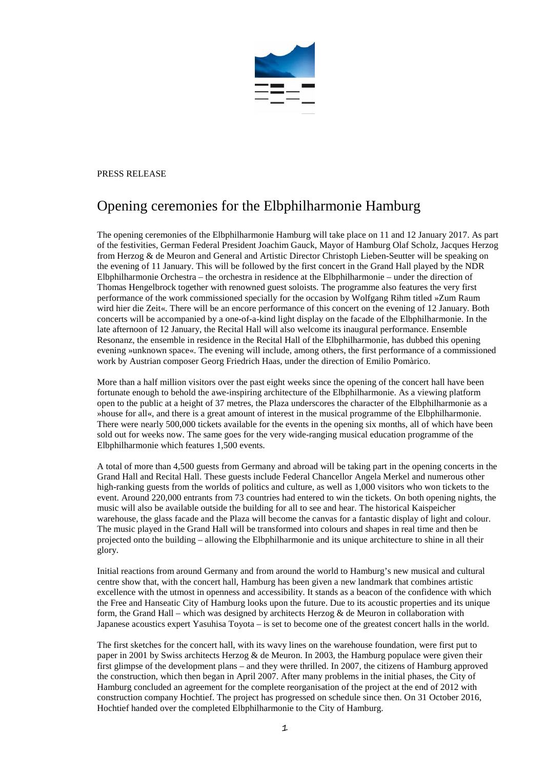

PRESS RELEASE

## Opening ceremonies for the Elbphilharmonie Hamburg

The opening ceremonies of the Elbphilharmonie Hamburg will take place on 11 and 12 January 2017. As part of the festivities, German Federal President Joachim Gauck, Mayor of Hamburg Olaf Scholz, Jacques Herzog from Herzog & de Meuron and General and Artistic Director Christoph Lieben-Seutter will be speaking on the evening of 11 January. This will be followed by the first concert in the Grand Hall played by the NDR Elbphilharmonie Orchestra – the orchestra in residence at the Elbphilharmonie – under the direction of Thomas Hengelbrock together with renowned guest soloists. The programme also features the very first performance of the work commissioned specially for the occasion by Wolfgang Rihm titled »Zum Raum wird hier die Zeit«. There will be an encore performance of this concert on the evening of 12 January. Both concerts will be accompanied by a one-of-a-kind light display on the facade of the Elbphilharmonie. In the late afternoon of 12 January, the Recital Hall will also welcome its inaugural performance. Ensemble Resonanz, the ensemble in residence in the Recital Hall of the Elbphilharmonie, has dubbed this opening evening »unknown space«. The evening will include, among others, the first performance of a commissioned work by Austrian composer Georg Friedrich Haas, under the direction of Emilio Pomàrico.

More than a half million visitors over the past eight weeks since the opening of the concert hall have been fortunate enough to behold the awe-inspiring architecture of the Elbphilharmonie. As a viewing platform open to the public at a height of 37 metres, the Plaza underscores the character of the Elbphilharmonie as a »house for all«, and there is a great amount of interest in the musical programme of the Elbphilharmonie. There were nearly 500,000 tickets available for the events in the opening six months, all of which have been sold out for weeks now. The same goes for the very wide-ranging musical education programme of the Elbphilharmonie which features 1,500 events.

A total of more than 4,500 guests from Germany and abroad will be taking part in the opening concerts in the Grand Hall and Recital Hall. These guests include Federal Chancellor Angela Merkel and numerous other high-ranking guests from the worlds of politics and culture, as well as 1,000 visitors who won tickets to the event. Around 220,000 entrants from 73 countries had entered to win the tickets. On both opening nights, the music will also be available outside the building for all to see and hear. The historical Kaispeicher warehouse, the glass facade and the Plaza will become the canvas for a fantastic display of light and colour. The music played in the Grand Hall will be transformed into colours and shapes in real time and then be projected onto the building – allowing the Elbphilharmonie and its unique architecture to shine in all their glory.

Initial reactions from around Germany and from around the world to Hamburg's new musical and cultural centre show that, with the concert hall, Hamburg has been given a new landmark that combines artistic excellence with the utmost in openness and accessibility. It stands as a beacon of the confidence with which the Free and Hanseatic City of Hamburg looks upon the future. Due to its acoustic properties and its unique form, the Grand Hall – which was designed by architects Herzog  $\&$  de Meuron in collaboration with Japanese acoustics expert Yasuhisa Toyota – is set to become one of the greatest concert halls in the world.

The first sketches for the concert hall, with its wavy lines on the warehouse foundation, were first put to paper in 2001 by Swiss architects Herzog & de Meuron. In 2003, the Hamburg populace were given their first glimpse of the development plans – and they were thrilled. In 2007, the citizens of Hamburg approved the construction, which then began in April 2007. After many problems in the initial phases, the City of Hamburg concluded an agreement for the complete reorganisation of the project at the end of 2012 with construction company Hochtief. The project has progressed on schedule since then. On 31 October 2016, Hochtief handed over the completed Elbphilharmonie to the City of Hamburg.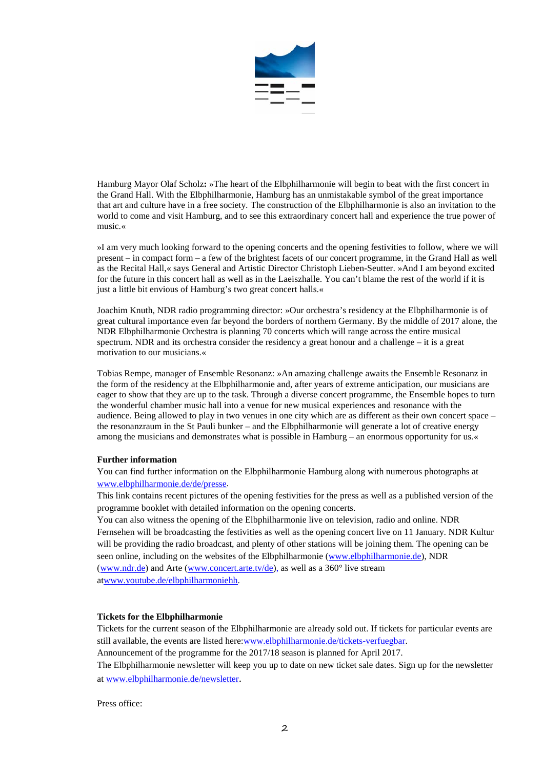

Hamburg Mayor Olaf Scholz**:** »The heart of the Elbphilharmonie will begin to beat with the first concert in the Grand Hall. With the Elbphilharmonie, Hamburg has an unmistakable symbol of the great importance that art and culture have in a free society. The construction of the Elbphilharmonie is also an invitation to the world to come and visit Hamburg, and to see this extraordinary concert hall and experience the true power of music.«

»I am very much looking forward to the opening concerts and the opening festivities to follow, where we will present – in compact form – a few of the brightest facets of our concert programme, in the Grand Hall as well as the Recital Hall,« says General and Artistic Director Christoph Lieben-Seutter. »And I am beyond excited for the future in this concert hall as well as in the Laeiszhalle. You can't blame the rest of the world if it is just a little bit envious of Hamburg's two great concert halls.«

Joachim Knuth, NDR radio programming director: »Our orchestra's residency at the Elbphilharmonie is of great cultural importance even far beyond the borders of northern Germany. By the middle of 2017 alone, the NDR Elbphilharmonie Orchestra is planning 70 concerts which will range across the entire musical spectrum. NDR and its orchestra consider the residency a great honour and a challenge – it is a great motivation to our musicians.«

Tobias Rempe, manager of Ensemble Resonanz: »An amazing challenge awaits the Ensemble Resonanz in the form of the residency at the Elbphilharmonie and, after years of extreme anticipation, our musicians are eager to show that they are up to the task. Through a diverse concert programme, the Ensemble hopes to turn the wonderful chamber music hall into a venue for new musical experiences and resonance with the audience. Being allowed to play in two venues in one city which are as different as their own concert space – the resonanzraum in the St Pauli bunker – and the Elbphilharmonie will generate a lot of creative energy among the musicians and demonstrates what is possible in Hamburg – an enormous opportunity for us.«

## **Further information**

You can find further information on the Elbphilharmonie Hamburg along with numerous photographs at [www.elbphilharmonie.de/de/presse.](https://www.elbphilharmonie.de/de/presse)

This link contains recent pictures of the opening festivities for the press as well as a published version of the programme booklet with detailed information on the opening concerts.

You can also witness the opening of the Elbphilharmonie live on television, radio and online. NDR Fernsehen will be broadcasting the festivities as well as the opening concert live on 11 January. NDR Kultur will be providing the radio broadcast, and plenty of other stations will be joining them. The opening can be seen online, including on the websites of the Elbphilharmonie [\(www.elbphilharmonie.de\)](http://www.elbphilharmonie.de/), NDR [\(www.ndr.de\)](http://www.ndr.de/) and Arte [\(www.concert.arte.tv/de\)](http://www.concert.arte.tv/de), as well as a 360° live stream a[twww.youtube.de/elbphilharmoniehh.](http://www.youtube.de/elbphilharmoniehh)

## **Tickets for the Elbphilharmonie**

Tickets for the current season of the Elbphilharmonie are already sold out. If tickets for particular events are still available, the events are listed here[:www.elbphilharmonie.de/tickets-verfuegbar.](http://www.elbphilharmonie.de/tickets-verfuegbar)

Announcement of the programme for the 2017/18 season is planned for April 2017.

The Elbphilharmonie newsletter will keep you up to date on new ticket sale dates. Sign up for the newsletter at [www.elbphilharmonie.de/newsletter.](http://www.elbphilharmonie.de/newsletter)

Press office: